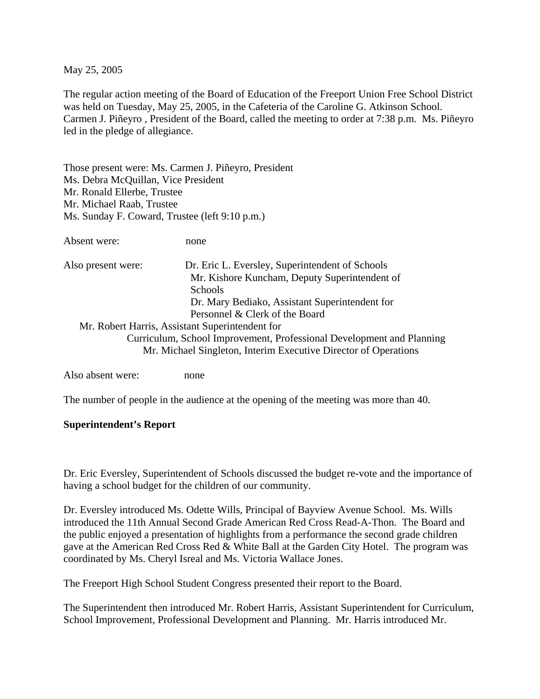May 25, 2005

The regular action meeting of the Board of Education of the Freeport Union Free School District was held on Tuesday, May 25, 2005, in the Cafeteria of the Caroline G. Atkinson School. Carmen J. Piñeyro , President of the Board, called the meeting to order at 7:38 p.m. Ms. Piñeyro led in the pledge of allegiance.

Those present were: Ms. Carmen J. Piñeyro, President Ms. Debra McQuillan, Vice President Mr. Ronald Ellerbe, Trustee Mr. Michael Raab, Trustee Ms. Sunday F. Coward, Trustee (left 9:10 p.m.)

Absent were: none

| Also present were: | Dr. Eric L. Eversley, Superintendent of Schools                                                                                          |
|--------------------|------------------------------------------------------------------------------------------------------------------------------------------|
|                    | Mr. Kishore Kuncham, Deputy Superintendent of                                                                                            |
|                    | <b>Schools</b>                                                                                                                           |
|                    | Dr. Mary Bediako, Assistant Superintendent for                                                                                           |
|                    | Personnel & Clerk of the Board                                                                                                           |
|                    | Mr. Robert Harris, Assistant Superintendent for                                                                                          |
|                    | Curriculum, School Improvement, Professional Development and Planning<br>Mr. Michael Singleton, Interim Executive Director of Operations |

Also absent were: none

The number of people in the audience at the opening of the meeting was more than 40.

#### **Superintendent's Report**

Dr. Eric Eversley, Superintendent of Schools discussed the budget re-vote and the importance of having a school budget for the children of our community.

Dr. Eversley introduced Ms. Odette Wills, Principal of Bayview Avenue School. Ms. Wills introduced the 11th Annual Second Grade American Red Cross Read-A-Thon. The Board and the public enjoyed a presentation of highlights from a performance the second grade children gave at the American Red Cross Red & White Ball at the Garden City Hotel. The program was coordinated by Ms. Cheryl Isreal and Ms. Victoria Wallace Jones.

The Freeport High School Student Congress presented their report to the Board.

The Superintendent then introduced Mr. Robert Harris, Assistant Superintendent for Curriculum, School Improvement, Professional Development and Planning. Mr. Harris introduced Mr.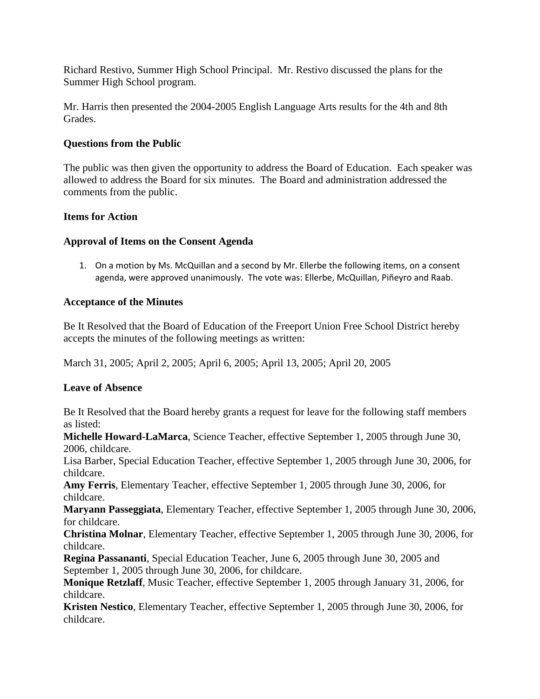Richard Restivo, Summer High School Principal. Mr. Restivo discussed the plans for the Summer High School program.

Mr. Harris then presented the 2004-2005 English Language Arts results for the 4th and 8th Grades.

## **Questions from the Public**

The public was then given the opportunity to address the Board of Education. Each speaker was allowed to address the Board for six minutes. The Board and administration addressed the comments from the public.

## **Items for Action**

## **Approval of Items on the Consent Agenda**

1. On a motion by Ms. McQuillan and a second by Mr. Ellerbe the following items, on a consent agenda, were approved unanimously. The vote was: Ellerbe, McQuillan, Piñeyro and Raab.

## **Acceptance of the Minutes**

Be It Resolved that the Board of Education of the Freeport Union Free School District hereby accepts the minutes of the following meetings as written:

March 31, 2005; April 2, 2005; April 6, 2005; April 13, 2005; April 20, 2005

# **Leave of Absence**

Be It Resolved that the Board hereby grants a request for leave for the following staff members as listed:

**Michelle Howard-LaMarca**, Science Teacher, effective September 1, 2005 through June 30, 2006, childcare.

Lisa Barber, Special Education Teacher, effective September 1, 2005 through June 30, 2006, for childcare.

**Amy Ferris**, Elementary Teacher, effective September 1, 2005 through June 30, 2006, for childcare.

**Maryann Passeggiata**, Elementary Teacher, effective September 1, 2005 through June 30, 2006, for childcare.

**Christina Molnar**, Elementary Teacher, effective September 1, 2005 through June 30, 2006, for childcare.

**Regina Passananti**, Special Education Teacher, June 6, 2005 through June 30, 2005 and September 1, 2005 through June 30, 2006, for childcare.

**Monique Retzlaff**, Music Teacher, effective September 1, 2005 through January 31, 2006, for childcare.

**Kristen Nestico**, Elementary Teacher, effective September 1, 2005 through June 30, 2006, for childcare.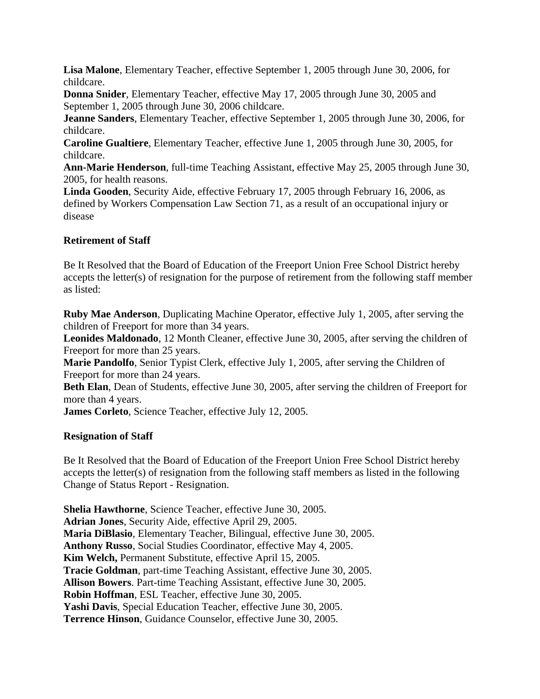**Lisa Malone**, Elementary Teacher, effective September 1, 2005 through June 30, 2006, for childcare.

**Donna Snider**, Elementary Teacher, effective May 17, 2005 through June 30, 2005 and September 1, 2005 through June 30, 2006 childcare.

**Jeanne Sanders**, Elementary Teacher, effective September 1, 2005 through June 30, 2006, for childcare.

**Caroline Gualtiere**, Elementary Teacher, effective June 1, 2005 through June 30, 2005, for childcare.

**Ann-Marie Henderson**, full-time Teaching Assistant, effective May 25, 2005 through June 30, 2005, for health reasons.

**Linda Gooden**, Security Aide, effective February 17, 2005 through February 16, 2006, as defined by Workers Compensation Law Section 71, as a result of an occupational injury or disease

## **Retirement of Staff**

Be It Resolved that the Board of Education of the Freeport Union Free School District hereby accepts the letter(s) of resignation for the purpose of retirement from the following staff member as listed:

**Ruby Mae Anderson**, Duplicating Machine Operator, effective July 1, 2005, after serving the children of Freeport for more than 34 years.

**Leonides Maldonado**, 12 Month Cleaner, effective June 30, 2005, after serving the children of Freeport for more than 25 years.

**Marie Pandolfo**, Senior Typist Clerk, effective July 1, 2005, after serving the Children of Freeport for more than 24 years.

**Beth Elan**, Dean of Students, effective June 30, 2005, after serving the children of Freeport for more than 4 years.

**James Corleto**, Science Teacher, effective July 12, 2005.

# **Resignation of Staff**

Be It Resolved that the Board of Education of the Freeport Union Free School District hereby accepts the letter(s) of resignation from the following staff members as listed in the following Change of Status Report - Resignation.

**Shelia Hawthorne**, Science Teacher, effective June 30, 2005. **Adrian Jones**, Security Aide, effective April 29, 2005. **Maria DiBlasio**, Elementary Teacher, Bilingual, effective June 30, 2005. **Anthony Russo**, Social Studies Coordinator, effective May 4, 2005. **Kim Welch,** Permanent Substitute, effective April 15, 2005. **Tracie Goldman**, part-time Teaching Assistant, effective June 30, 2005. **Allison Bowers**. Part-time Teaching Assistant, effective June 30, 2005. **Robin Hoffman**, ESL Teacher, effective June 30, 2005. **Yashi Davis**, Special Education Teacher, effective June 30, 2005. **Terrence Hinson**, Guidance Counselor, effective June 30, 2005.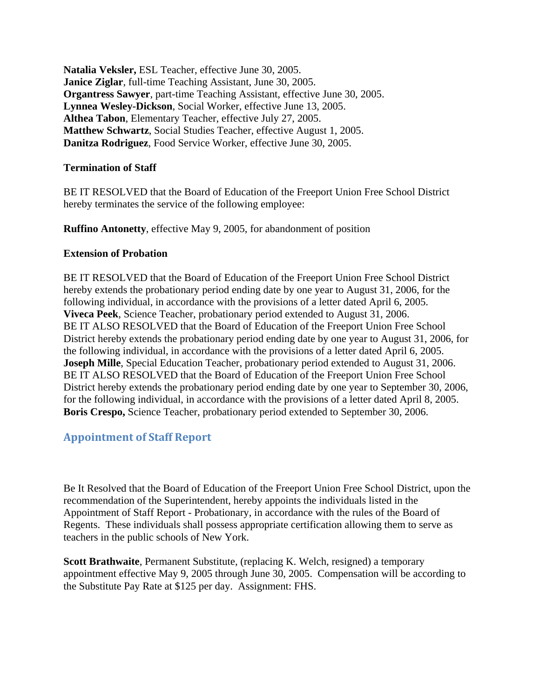**Natalia Veksler,** ESL Teacher, effective June 30, 2005. **Janice Ziglar**, full-time Teaching Assistant, June 30, 2005. **Organtress Sawyer**, part-time Teaching Assistant, effective June 30, 2005. **Lynnea Wesley-Dickson**, Social Worker, effective June 13, 2005. **Althea Tabon**, Elementary Teacher, effective July 27, 2005. **Matthew Schwartz**, Social Studies Teacher, effective August 1, 2005. **Danitza Rodriguez**, Food Service Worker, effective June 30, 2005.

#### **Termination of Staff**

BE IT RESOLVED that the Board of Education of the Freeport Union Free School District hereby terminates the service of the following employee:

**Ruffino Antonetty**, effective May 9, 2005, for abandonment of position

## **Extension of Probation**

BE IT RESOLVED that the Board of Education of the Freeport Union Free School District hereby extends the probationary period ending date by one year to August 31, 2006, for the following individual, in accordance with the provisions of a letter dated April 6, 2005. **Viveca Peek**, Science Teacher, probationary period extended to August 31, 2006. BE IT ALSO RESOLVED that the Board of Education of the Freeport Union Free School District hereby extends the probationary period ending date by one year to August 31, 2006, for the following individual, in accordance with the provisions of a letter dated April 6, 2005. **Joseph Mille**, Special Education Teacher, probationary period extended to August 31, 2006. BE IT ALSO RESOLVED that the Board of Education of the Freeport Union Free School District hereby extends the probationary period ending date by one year to September 30, 2006, for the following individual, in accordance with the provisions of a letter dated April 8, 2005. **Boris Crespo,** Science Teacher, probationary period extended to September 30, 2006.

# **Appointment of Staff Report**

Be It Resolved that the Board of Education of the Freeport Union Free School District, upon the recommendation of the Superintendent, hereby appoints the individuals listed in the Appointment of Staff Report - Probationary, in accordance with the rules of the Board of Regents. These individuals shall possess appropriate certification allowing them to serve as teachers in the public schools of New York.

**Scott Brathwaite**, Permanent Substitute, (replacing K. Welch, resigned) a temporary appointment effective May 9, 2005 through June 30, 2005. Compensation will be according to the Substitute Pay Rate at \$125 per day. Assignment: FHS.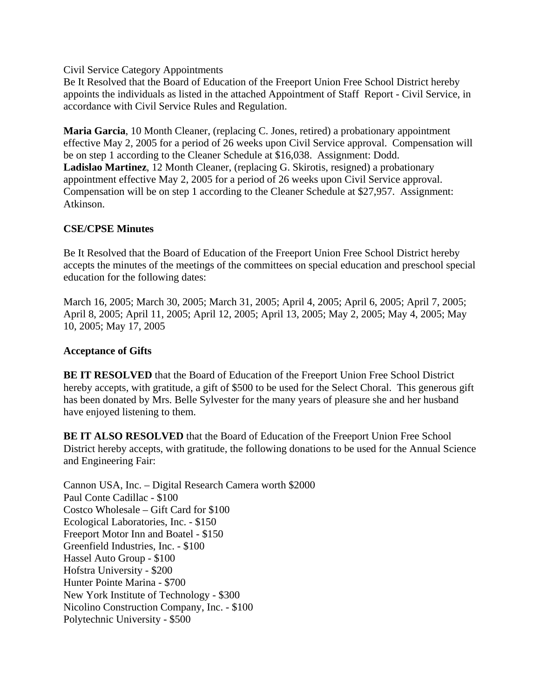Civil Service Category Appointments

Be It Resolved that the Board of Education of the Freeport Union Free School District hereby appoints the individuals as listed in the attached Appointment of Staff Report - Civil Service, in accordance with Civil Service Rules and Regulation.

**Maria Garcia**, 10 Month Cleaner, (replacing C. Jones, retired) a probationary appointment effective May 2, 2005 for a period of 26 weeks upon Civil Service approval. Compensation will be on step 1 according to the Cleaner Schedule at \$16,038. Assignment: Dodd. **Ladislao Martinez**, 12 Month Cleaner, (replacing G. Skirotis, resigned) a probationary appointment effective May 2, 2005 for a period of 26 weeks upon Civil Service approval. Compensation will be on step 1 according to the Cleaner Schedule at \$27,957. Assignment: Atkinson.

## **CSE/CPSE Minutes**

Be It Resolved that the Board of Education of the Freeport Union Free School District hereby accepts the minutes of the meetings of the committees on special education and preschool special education for the following dates:

March 16, 2005; March 30, 2005; March 31, 2005; April 4, 2005; April 6, 2005; April 7, 2005; April 8, 2005; April 11, 2005; April 12, 2005; April 13, 2005; May 2, 2005; May 4, 2005; May 10, 2005; May 17, 2005

#### **Acceptance of Gifts**

**BE IT RESOLVED** that the Board of Education of the Freeport Union Free School District hereby accepts, with gratitude, a gift of \$500 to be used for the Select Choral. This generous gift has been donated by Mrs. Belle Sylvester for the many years of pleasure she and her husband have enjoyed listening to them.

**BE IT ALSO RESOLVED** that the Board of Education of the Freeport Union Free School District hereby accepts, with gratitude, the following donations to be used for the Annual Science and Engineering Fair:

Cannon USA, Inc. – Digital Research Camera worth \$2000 Paul Conte Cadillac - \$100 Costco Wholesale – Gift Card for \$100 Ecological Laboratories, Inc. - \$150 Freeport Motor Inn and Boatel - \$150 Greenfield Industries, Inc. - \$100 Hassel Auto Group - \$100 Hofstra University - \$200 Hunter Pointe Marina - \$700 New York Institute of Technology - \$300 Nicolino Construction Company, Inc. - \$100 Polytechnic University - \$500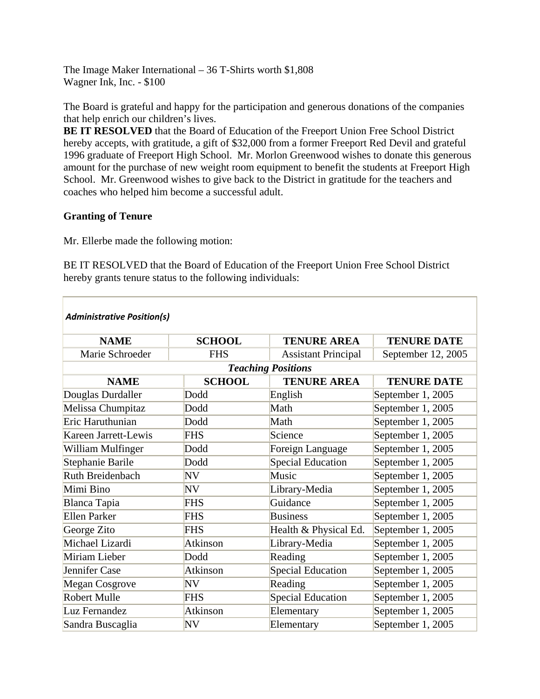The Image Maker International – 36 T-Shirts worth \$1,808 Wagner Ink, Inc. - \$100

The Board is grateful and happy for the participation and generous donations of the companies that help enrich our children's lives.

**BE IT RESOLVED** that the Board of Education of the Freeport Union Free School District hereby accepts, with gratitude, a gift of \$32,000 from a former Freeport Red Devil and grateful 1996 graduate of Freeport High School. Mr. Morlon Greenwood wishes to donate this generous amount for the purchase of new weight room equipment to benefit the students at Freeport High School. Mr. Greenwood wishes to give back to the District in gratitude for the teachers and coaches who helped him become a successful adult.

## **Granting of Tenure**

Mr. Ellerbe made the following motion:

BE IT RESOLVED that the Board of Education of the Freeport Union Free School District hereby grants tenure status to the following individuals:

| <b>Administrative Position(s)</b> |                 |                            |                    |  |  |
|-----------------------------------|-----------------|----------------------------|--------------------|--|--|
| <b>NAME</b>                       | <b>SCHOOL</b>   | <b>TENURE AREA</b>         | <b>TENURE DATE</b> |  |  |
| Marie Schroeder                   | <b>FHS</b>      | <b>Assistant Principal</b> | September 12, 2005 |  |  |
| <b>Teaching Positions</b>         |                 |                            |                    |  |  |
| <b>NAME</b>                       | <b>SCHOOL</b>   | <b>TENURE AREA</b>         | <b>TENURE DATE</b> |  |  |
| Douglas Durdaller                 | Dodd            | English                    | September 1, 2005  |  |  |
| Melissa Chumpitaz                 | Dodd            | Math                       | September 1, 2005  |  |  |
| Eric Haruthunian                  | Dodd            | Math                       | September 1, 2005  |  |  |
| Kareen Jarrett-Lewis              | <b>FHS</b>      | Science                    | September 1, 2005  |  |  |
| William Mulfinger                 | Dodd            | Foreign Language           | September 1, 2005  |  |  |
| Stephanie Barile                  | Dodd            | <b>Special Education</b>   | September 1, 2005  |  |  |
| Ruth Breidenbach                  | NV              | Music                      | September 1, 2005  |  |  |
| Mimi Bino                         | NV              | Library-Media              | September 1, 2005  |  |  |
| Blanca Tapia                      | <b>FHS</b>      | Guidance                   | September 1, 2005  |  |  |
| <b>Ellen Parker</b>               | <b>FHS</b>      | <b>Business</b>            | September 1, 2005  |  |  |
| George Zito                       | <b>FHS</b>      | Health & Physical Ed.      | September 1, 2005  |  |  |
| Michael Lizardi                   | <b>Atkinson</b> | Library-Media              | September 1, 2005  |  |  |
| Miriam Lieber                     | Dodd            | Reading                    | September 1, 2005  |  |  |
| Jennifer Case                     | Atkinson        | <b>Special Education</b>   | September 1, 2005  |  |  |
| <b>Megan Cosgrove</b>             | NV              | Reading                    | September 1, 2005  |  |  |
| <b>Robert Mulle</b>               | <b>FHS</b>      | <b>Special Education</b>   | September 1, 2005  |  |  |
| Luz Fernandez                     | <b>Atkinson</b> | Elementary                 | September 1, 2005  |  |  |
| Sandra Buscaglia                  | NV              | Elementary                 | September 1, 2005  |  |  |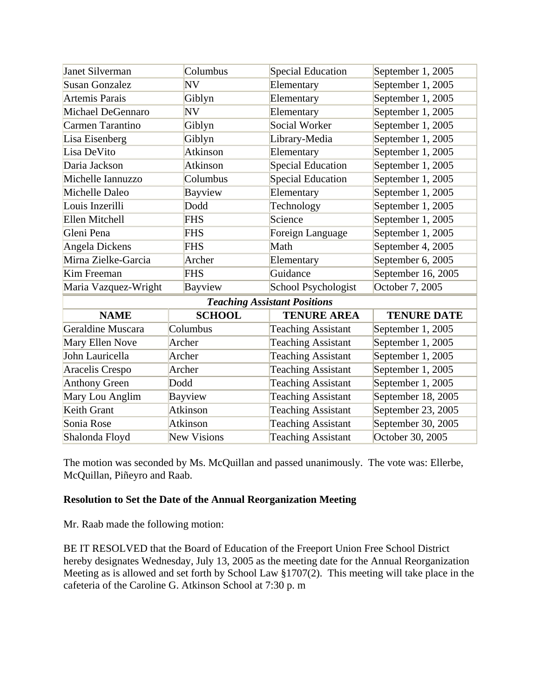| Janet Silverman                     |                    | Columbus        | Special Education         | September 1, 2005  |  |
|-------------------------------------|--------------------|-----------------|---------------------------|--------------------|--|
| <b>Susan Gonzalez</b>               |                    | NV              | Elementary                | September 1, 2005  |  |
| <b>Artemis Parais</b>               |                    | Giblyn          | Elementary                | September 1, 2005  |  |
| Michael DeGennaro                   |                    | N V             | Elementary                | September 1, 2005  |  |
| Carmen Tarantino                    |                    | Giblyn          | Social Worker             | September 1, 2005  |  |
| Lisa Eisenberg                      |                    | Giblyn          | Library-Media             | September 1, 2005  |  |
| Lisa DeVito                         |                    | Atkinson        | Elementary                | September 1, 2005  |  |
| Daria Jackson                       |                    | <b>Atkinson</b> | Special Education         | September 1, 2005  |  |
| Michelle Iannuzzo                   |                    | Columbus        | Special Education         | September 1, 2005  |  |
| Michelle Daleo                      |                    | <b>Bayview</b>  | Elementary                | September 1, 2005  |  |
| Louis Inzerilli                     |                    | Dodd            | Technology                | September 1, 2005  |  |
| Ellen Mitchell                      |                    | <b>FHS</b>      | Science                   | September 1, 2005  |  |
| Gleni Pena                          |                    | <b>FHS</b>      | Foreign Language          | September 1, 2005  |  |
| <b>Angela Dickens</b>               |                    | <b>FHS</b>      | Math                      | September 4, 2005  |  |
| Mirna Zielke-Garcia                 |                    | Archer          | Elementary                | September 6, 2005  |  |
| Kim Freeman                         |                    | <b>FHS</b>      | Guidance                  | September 16, 2005 |  |
| Maria Vazquez-Wright                |                    | Bayview         | School Psychologist       | October 7, 2005    |  |
| <b>Teaching Assistant Positions</b> |                    |                 |                           |                    |  |
| <b>NAME</b>                         |                    | <b>SCHOOL</b>   | <b>TENURE AREA</b>        | <b>TENURE DATE</b> |  |
| Geraldine Muscara                   |                    | Columbus        | <b>Teaching Assistant</b> | September 1, 2005  |  |
| Mary Ellen Nove                     |                    | Archer          | <b>Teaching Assistant</b> | September 1, 2005  |  |
| John Lauricella                     |                    | Archer          | <b>Teaching Assistant</b> | September 1, 2005  |  |
| <b>Aracelis Crespo</b>              |                    | Archer          | <b>Teaching Assistant</b> | September 1, 2005  |  |
| <b>Anthony Green</b>                | Dodd               |                 | <b>Teaching Assistant</b> | September 1, 2005  |  |
| Mary Lou Anglim                     | <b>Bayview</b>     |                 | <b>Teaching Assistant</b> | September 18, 2005 |  |
| Keith Grant                         | Atkinson           |                 | <b>Teaching Assistant</b> | September 23, 2005 |  |
| Sonia Rose                          | Atkinson           |                 | <b>Teaching Assistant</b> | September 30, 2005 |  |
| Shalonda Floyd                      | <b>New Visions</b> |                 | <b>Teaching Assistant</b> | October 30, 2005   |  |

The motion was seconded by Ms. McQuillan and passed unanimously. The vote was: Ellerbe, McQuillan, Piñeyro and Raab.

# **Resolution to Set the Date of the Annual Reorganization Meeting**

Mr. Raab made the following motion:

BE IT RESOLVED that the Board of Education of the Freeport Union Free School District hereby designates Wednesday, July 13, 2005 as the meeting date for the Annual Reorganization Meeting as is allowed and set forth by School Law §1707(2). This meeting will take place in the cafeteria of the Caroline G. Atkinson School at 7:30 p. m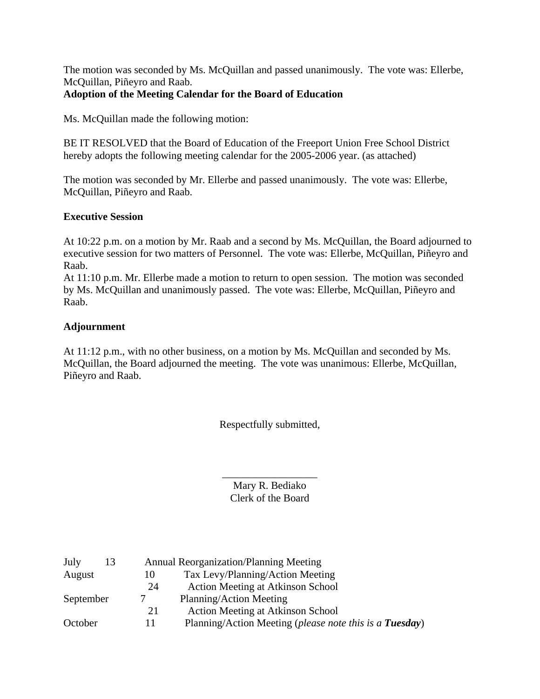The motion was seconded by Ms. McQuillan and passed unanimously. The vote was: Ellerbe, McQuillan, Piñeyro and Raab.

# **Adoption of the Meeting Calendar for the Board of Education**

Ms. McQuillan made the following motion:

BE IT RESOLVED that the Board of Education of the Freeport Union Free School District hereby adopts the following meeting calendar for the 2005-2006 year. (as attached)

The motion was seconded by Mr. Ellerbe and passed unanimously. The vote was: Ellerbe, McQuillan, Piñeyro and Raab.

## **Executive Session**

At 10:22 p.m. on a motion by Mr. Raab and a second by Ms. McQuillan, the Board adjourned to executive session for two matters of Personnel. The vote was: Ellerbe, McQuillan, Piñeyro and Raab.

At 11:10 p.m. Mr. Ellerbe made a motion to return to open session. The motion was seconded by Ms. McQuillan and unanimously passed. The vote was: Ellerbe, McQuillan, Piñeyro and Raab.

## **Adjournment**

At 11:12 p.m., with no other business, on a motion by Ms. McQuillan and seconded by Ms. McQuillan, the Board adjourned the meeting. The vote was unanimous: Ellerbe, McQuillan, Piñeyro and Raab.

Respectfully submitted,

\_\_\_\_\_\_\_\_\_\_\_\_\_\_\_\_\_\_ Mary R. Bediako Clerk of the Board

| July      | 13 |    | <b>Annual Reorganization/Planning Meeting</b>           |
|-----------|----|----|---------------------------------------------------------|
| August    |    | 10 | Tax Levy/Planning/Action Meeting                        |
|           |    | 24 | <b>Action Meeting at Atkinson School</b>                |
| September |    |    | Planning/Action Meeting                                 |
|           |    | 21 | <b>Action Meeting at Atkinson School</b>                |
| October   |    |    | Planning/Action Meeting (please note this is a Tuesday) |